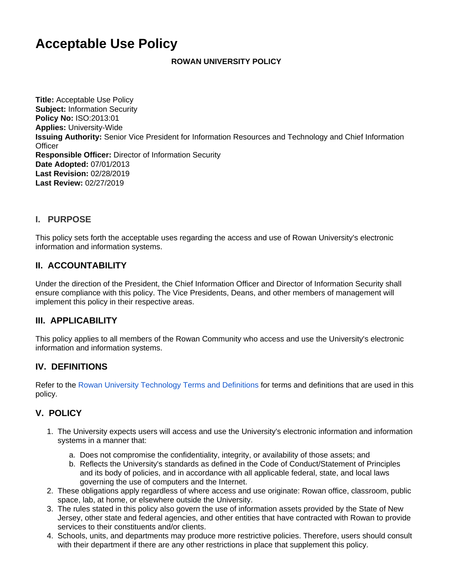# **Acceptable Use Policy**

#### **ROWAN UNIVERSITY POLICY**

**Title:** Acceptable Use Policy **Subject:** Information Security **Policy No:** ISO:2013:01 **Applies:** University-Wide **Issuing Authority:** Senior Vice President for Information Resources and Technology and Chief Information **Officer Responsible Officer:** Director of Information Security **Date Adopted:** 07/01/2013 **Last Revision:** 02/28/2019 **Last Review:** 02/27/2019

## **I. PURPOSE**

This policy sets forth the acceptable uses regarding the access and use of Rowan University's electronic information and information systems.

## **II. ACCOUNTABILITY**

Under the direction of the President, the Chief Information Officer and Director of Information Security shall ensure compliance with this policy. The Vice Presidents, Deans, and other members of management will implement this policy in their respective areas.

## **III. APPLICABILITY**

This policy applies to all members of the Rowan Community who access and use the University's electronic information and information systems.

## **IV. DEFINITIONS**

Refer to the [Rowan University Technology Terms and Definitions](https://confluence.rowan.edu/display/POLICY/Technology+Terms+and+Definitions) for terms and definitions that are used in this policy.

## **V. POLICY**

- 1. The University expects users will access and use the University's electronic information and information systems in a manner that:
	- a. Does not compromise the confidentiality, integrity, or availability of those assets; and
	- b. Reflects the University's standards as defined in the Code of Conduct/Statement of Principles and its body of policies, and in accordance with all applicable federal, state, and local laws governing the use of computers and the Internet.
- 2. These obligations apply regardless of where access and use originate: Rowan office, classroom, public space, lab, at home, or elsewhere outside the University.
- 3. The rules stated in this policy also govern the use of information assets provided by the State of New Jersey, other state and federal agencies, and other entities that have contracted with Rowan to provide services to their constituents and/or clients.
- 4. Schools, units, and departments may produce more restrictive policies. Therefore, users should consult with their department if there are any other restrictions in place that supplement this policy.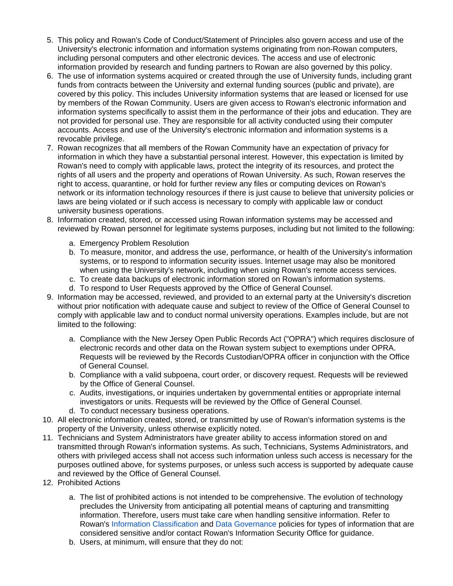- 5. This policy and Rowan's Code of Conduct/Statement of Principles also govern access and use of the University's electronic information and information systems originating from non-Rowan computers, including personal computers and other electronic devices. The access and use of electronic information provided by research and funding partners to Rowan are also governed by this policy.
- 6. The use of information systems acquired or created through the use of University funds, including grant funds from contracts between the University and external funding sources (public and private), are covered by this policy. This includes University information systems that are leased or licensed for use by members of the Rowan Community. Users are given access to Rowan's electronic information and information systems specifically to assist them in the performance of their jobs and education. They are not provided for personal use. They are responsible for all activity conducted using their computer accounts. Access and use of the University's electronic information and information systems is a revocable privilege.
- 7. Rowan recognizes that all members of the Rowan Community have an expectation of privacy for information in which they have a substantial personal interest. However, this expectation is limited by Rowan's need to comply with applicable laws, protect the integrity of its resources, and protect the rights of all users and the property and operations of Rowan University. As such, Rowan reserves the right to access, quarantine, or hold for further review any files or computing devices on Rowan's network or its information technology resources if there is just cause to believe that university policies or laws are being violated or if such access is necessary to comply with applicable law or conduct university business operations.
- 8. Information created, stored, or accessed using Rowan information systems may be accessed and reviewed by Rowan personnel for legitimate systems purposes, including but not limited to the following:
	- a. Emergency Problem Resolution
	- b. To measure, monitor, and address the use, performance, or health of the University's information systems, or to respond to information security issues. Internet usage may also be monitored when using the University's network, including when using Rowan's remote access services.
	- c. To create data backups of electronic information stored on Rowan's information systems.
	- d. To respond to User Requests approved by the Office of General Counsel.
- 9. Information may be accessed, reviewed, and provided to an external party at the University's discretion without prior notification with adequate cause and subject to review of the Office of General Counsel to comply with applicable law and to conduct normal university operations. Examples include, but are not limited to the following:
	- a. Compliance with the New Jersey Open Public Records Act ("OPRA") which requires disclosure of electronic records and other data on the Rowan system subject to exemptions under OPRA. Requests will be reviewed by the Records Custodian/OPRA officer in conjunction with the Office of General Counsel.
	- b. Compliance with a valid subpoena, court order, or discovery request. Requests will be reviewed by the Office of General Counsel.
	- c. Audits, investigations, or inquiries undertaken by governmental entities or appropriate internal investigators or units. Requests will be reviewed by the Office of General Counsel.
	- d. To conduct necessary business operations.
- 10. All electronic information created, stored, or transmitted by use of Rowan's information systems is the property of the University, unless otherwise explicitly noted.
- 11. Technicians and System Administrators have greater ability to access information stored on and transmitted through Rowan's information systems. As such, Technicians, Systems Administrators, and others with privileged access shall not access such information unless such access is necessary for the purposes outlined above, for systems purposes, or unless such access is supported by adequate cause and reviewed by the Office of General Counsel.
- 12. Prohibited Actions
	- a. The list of prohibited actions is not intended to be comprehensive. The evolution of technology precludes the University from anticipating all potential means of capturing and transmitting information. Therefore, users must take care when handling sensitive information. Refer to Rowan's [Information Classification](https://confluence.rowan.edu/display/POLICY/Information+Classification) and [Data Governance](https://confluence.rowan.edu/display/POLICY/Data+Governance+Policy) policies for types of information that are considered sensitive and/or contact Rowan's Information Security Office for guidance.
	- b. Users, at minimum, will ensure that they do not: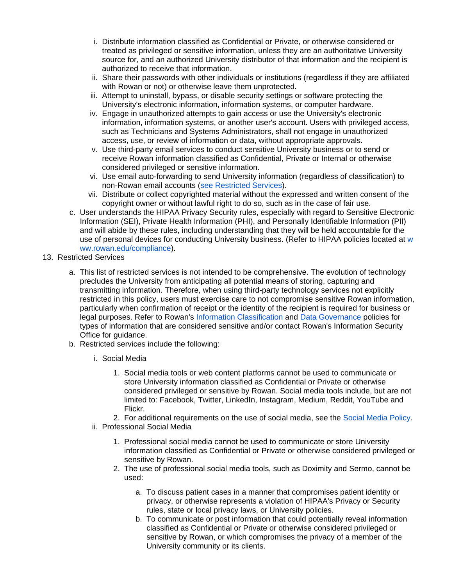- i. Distribute information classified as Confidential or Private, or otherwise considered or treated as privileged or sensitive information, unless they are an authoritative University source for, and an authorized University distributor of that information and the recipient is authorized to receive that information.
- ii. Share their passwords with other individuals or institutions (regardless if they are affiliated with Rowan or not) or otherwise leave them unprotected.
- iii. Attempt to uninstall, bypass, or disable security settings or software protecting the University's electronic information, information systems, or computer hardware.
- iv. Engage in unauthorized attempts to gain access or use the University's electronic information, information systems, or another user's account. Users with privileged access, such as Technicians and Systems Administrators, shall not engage in unauthorized access, use, or review of information or data, without appropriate approvals.
- v. Use third-party email services to conduct sensitive University business or to send or receive Rowan information classified as Confidential, Private or Internal or otherwise considered privileged or sensitive information.
- vi. Use email auto-forwarding to send University information (regardless of classification) to non-Rowan email accounts [\(see Restricted Services](#page-2-0)).
- vii. Distribute or collect copyrighted material without the expressed and written consent of the copyright owner or without lawful right to do so, such as in the case of fair use.
- c. User understands the HIPAA Privacy Security rules, especially with regard to Sensitive Electronic Information (SEI), Private Health Information (PHI), and Personally Identifiable Information (PII) and will abide by these rules, including understanding that they will be held accountable for the use of personal devices for conducting University business. (Refer to HIPAA policies located at [w](http://www.rowan.edu/compliance) [ww.rowan.edu/compliance](http://www.rowan.edu/compliance)).
- <span id="page-2-0"></span>13. Restricted Services
	- a. This list of restricted services is not intended to be comprehensive. The evolution of technology precludes the University from anticipating all potential means of storing, capturing and transmitting information. Therefore, when using third-party technology services not explicitly restricted in this policy, users must exercise care to not compromise sensitive Rowan information, particularly when confirmation of receipt or the identity of the recipient is required for business or legal purposes. Refer to Rowan's [Information Classification](https://confluence.rowan.edu/display/POLICY/Information+Classification) and [Data Governance](https://confluence.rowan.edu/display/POLICY/Data+Governance+Policy) policies for types of information that are considered sensitive and/or contact Rowan's Information Security Office for guidance.
	- b. Restricted services include the following:
		- i. Social Media
			- 1. Social media tools or web content platforms cannot be used to communicate or store University information classified as Confidential or Private or otherwise considered privileged or sensitive by Rowan. Social media tools include, but are not limited to: Facebook, Twitter, LinkedIn, Instagram, Medium, Reddit, YouTube and Flickr.
			- 2. For additional requirements on the use of social media, see the [Social Media Policy.](https://confluence.rowan.edu/display/POLICY/Social+Media+Policy)
		- ii. Professional Social Media
			- 1. Professional social media cannot be used to communicate or store University information classified as Confidential or Private or otherwise considered privileged or sensitive by Rowan.
			- 2. The use of professional social media tools, such as Doximity and Sermo, cannot be used:
				- a. To discuss patient cases in a manner that compromises patient identity or privacy, or otherwise represents a violation of HIPAA's Privacy or Security rules, state or local privacy laws, or University policies.
				- b. To communicate or post information that could potentially reveal information classified as Confidential or Private or otherwise considered privileged or sensitive by Rowan, or which compromises the privacy of a member of the University community or its clients.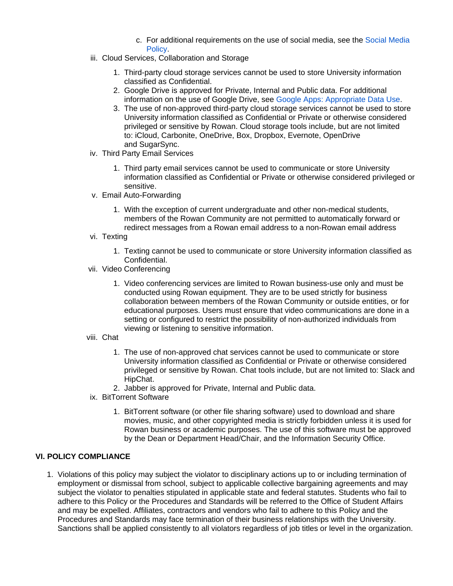- c. For additional requirements on the use of social media, see the [Social Media](https://confluence.rowan.edu/display/POLICY/Social+Media+Policy)  **[Policy](https://confluence.rowan.edu/display/POLICY/Social+Media+Policy)**
- iii. Cloud Services, Collaboration and Storage
	- 1. Third-party cloud storage services cannot be used to store University information classified as Confidential.
	- 2. Google Drive is approved for Private, Internal and Public data. For additional information on the use of Google Drive, see [Google Apps: Appropriate Data Use.](https://support.rowan.edu/sp?id=kb_article_view&sys_kb_id=6a4962c0db29e34883847bec0f961983)
	- 3. The use of non-approved third-party cloud storage services cannot be used to store University information classified as Confidential or Private or otherwise considered privileged or sensitive by Rowan. Cloud storage tools include, but are not limited to: iCloud, Carbonite, OneDrive, Box, Dropbox, Evernote, OpenDrive and SugarSync.
- iv. Third Party Email Services
	- 1. Third party email services cannot be used to communicate or store University information classified as Confidential or Private or otherwise considered privileged or sensitive.
- v. Email Auto-Forwarding
	- 1. With the exception of current undergraduate and other non-medical students, members of the Rowan Community are not permitted to automatically forward or redirect messages from a Rowan email address to a non-Rowan email address
- vi. Texting
	- 1. Texting cannot be used to communicate or store University information classified as Confidential.
- vii. Video Conferencing
	- 1. Video conferencing services are limited to Rowan business-use only and must be conducted using Rowan equipment. They are to be used strictly for business collaboration between members of the Rowan Community or outside entities, or for educational purposes. Users must ensure that video communications are done in a setting or configured to restrict the possibility of non-authorized individuals from viewing or listening to sensitive information.
- viii. Chat
	- 1. The use of non-approved chat services cannot be used to communicate or store University information classified as Confidential or Private or otherwise considered privileged or sensitive by Rowan. Chat tools include, but are not limited to: Slack and HipChat.
	- 2. Jabber is approved for Private, Internal and Public data.
- ix. BitTorrent Software
	- 1. BitTorrent software (or other file sharing software) used to download and share movies, music, and other copyrighted media is strictly forbidden unless it is used for Rowan business or academic purposes. The use of this software must be approved by the Dean or Department Head/Chair, and the Information Security Office.

#### **VI. POLICY COMPLIANCE**

1. Violations of this policy may subject the violator to disciplinary actions up to or including termination of employment or dismissal from school, subject to applicable collective bargaining agreements and may subject the violator to penalties stipulated in applicable state and federal statutes. Students who fail to adhere to this Policy or the Procedures and Standards will be referred to the Office of Student Affairs and may be expelled. Affiliates, contractors and vendors who fail to adhere to this Policy and the Procedures and Standards may face termination of their business relationships with the University. Sanctions shall be applied consistently to all violators regardless of job titles or level in the organization.